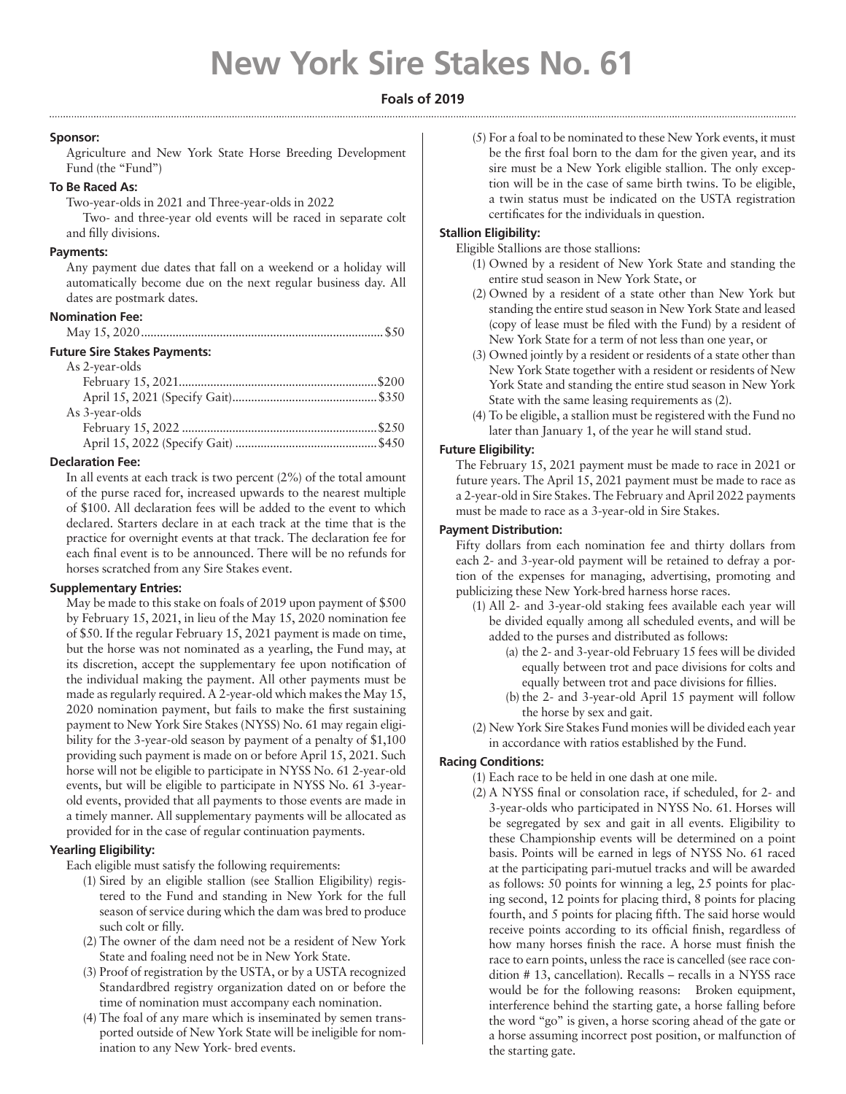# **New York Sire Stakes No. 61**

# **Foals of 2019**

## **Sponsor:**

Agriculture and New York State Horse Breeding Development Fund (the "Fund")

# **To Be Raced As:**

Two-year-olds in 2021 and Three-year-olds in 2022

Two- and three-year old events will be raced in separate colt and filly divisions.

## **Payments:**

Any payment due dates that fall on a weekend or a holiday will automatically become due on the next regular business day. All dates are postmark dates.

### **Nomination Fee:**

|--|--|--|--|--|

# **Future Sire Stakes Payments:**

| As 2-year-olds |  |
|----------------|--|
|                |  |
|                |  |
| As 3-year-olds |  |
|                |  |
|                |  |

## **Declaration Fee:**

In all events at each track is two percent (2%) of the total amount of the purse raced for, increased upwards to the nearest multiple of \$100. All declaration fees will be added to the event to which declared. Starters declare in at each track at the time that is the practice for overnight events at that track. The declaration fee for each final event is to be announced. There will be no refunds for horses scratched from any Sire Stakes event.

### **Supplementary Entries:**

May be made to this stake on foals of 2019 upon payment of \$500 by February 15, 2021, in lieu of the May 15, 2020 nomination fee of \$50. If the regular February 15, 2021 payment is made on time, but the horse was not nominated as a yearling, the Fund may, at its discretion, accept the supplementary fee upon notification of the individual making the payment. All other payments must be made as regularly required. A 2-year-old which makes the May 15, 2020 nomination payment, but fails to make the first sustaining payment to New York Sire Stakes (NYSS) No. 61 may regain eligibility for the 3-year-old season by payment of a penalty of \$1,100 providing such payment is made on or before April 15, 2021. Such horse will not be eligible to participate in NYSS No. 61 2-year-old events, but will be eligible to participate in NYSS No. 61 3-yearold events, provided that all payments to those events are made in a timely manner. All supplementary payments will be allocated as provided for in the case of regular continuation payments.

# **Yearling Eligibility:**

Each eligible must satisfy the following requirements:

- (1) Sired by an eligible stallion (see Stallion Eligibility) registered to the Fund and standing in New York for the full season of service during which the dam was bred to produce such colt or filly.
- (2) The owner of the dam need not be a resident of New York State and foaling need not be in New York State.
- (3) Proof of registration by the USTA, or by a USTA recognized Standardbred registry organization dated on or before the time of nomination must accompany each nomination.
- (4) The foal of any mare which is inseminated by semen transported outside of New York State will be ineligible for nomination to any New York- bred events.

(5) For a foal to be nominated to these New York events, it must be the first foal born to the dam for the given year, and its sire must be a New York eligible stallion. The only exception will be in the case of same birth twins. To be eligible, a twin status must be indicated on the USTA registration certificates for the individuals in question.

## **Stallion Eligibility:**

Eligible Stallions are those stallions:

- (1) Owned by a resident of New York State and standing the entire stud season in New York State, or
- (2) Owned by a resident of a state other than New York but standing the entire stud season in New York State and leased (copy of lease must be filed with the Fund) by a resident of New York State for a term of not less than one year, or
- (3) Owned jointly by a resident or residents of a state other than New York State together with a resident or residents of New York State and standing the entire stud season in New York State with the same leasing requirements as (2).
- (4) To be eligible, a stallion must be registered with the Fund no later than January 1, of the year he will stand stud.

# **Future Eligibility:**

The February 15, 2021 payment must be made to race in 2021 or future years. The April 15, 2021 payment must be made to race as a 2-year-old in Sire Stakes. The February and April 2022 payments must be made to race as a 3-year-old in Sire Stakes.

## **Payment Distribution:**

Fifty dollars from each nomination fee and thirty dollars from each 2- and 3-year-old payment will be retained to defray a portion of the expenses for managing, advertising, promoting and publicizing these New York-bred harness horse races.

- (1) All 2- and 3-year-old staking fees available each year will be divided equally among all scheduled events, and will be added to the purses and distributed as follows:
	- (a) the 2- and 3-year-old February 15 fees will be divided equally between trot and pace divisions for colts and equally between trot and pace divisions for fillies.
	- (b) the 2- and 3-year-old April 15 payment will follow the horse by sex and gait.
- (2) New York Sire Stakes Fund monies will be divided each year in accordance with ratios established by the Fund.

## **Racing Conditions:**

- (1) Each race to be held in one dash at one mile.
- (2) A NYSS final or consolation race, if scheduled, for 2- and 3-year-olds who participated in NYSS No. 61. Horses will be segregated by sex and gait in all events. Eligibility to these Championship events will be determined on a point basis. Points will be earned in legs of NYSS No. 61 raced at the participating pari-mutuel tracks and will be awarded as follows: 50 points for winning a leg, 25 points for placing second, 12 points for placing third, 8 points for placing fourth, and 5 points for placing fifth. The said horse would receive points according to its official finish, regardless of how many horses finish the race. A horse must finish the race to earn points, unless the race is cancelled (see race condition # 13, cancellation). Recalls – recalls in a NYSS race would be for the following reasons: Broken equipment, interference behind the starting gate, a horse falling before the word "go" is given, a horse scoring ahead of the gate or a horse assuming incorrect post position, or malfunction of the starting gate.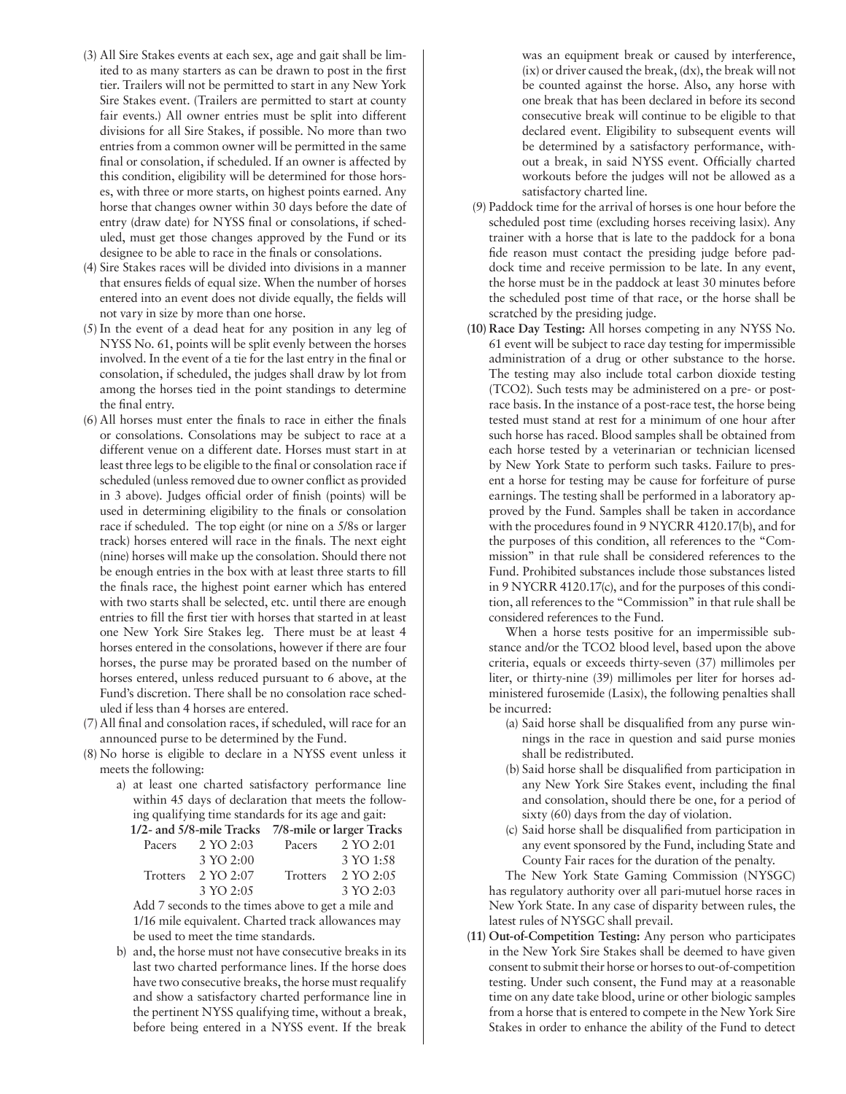- (3) All Sire Stakes events at each sex, age and gait shall be limited to as many starters as can be drawn to post in the first tier. Trailers will not be permitted to start in any New York Sire Stakes event. (Trailers are permitted to start at county fair events.) All owner entries must be split into different divisions for all Sire Stakes, if possible. No more than two entries from a common owner will be permitted in the same final or consolation, if scheduled. If an owner is affected by this condition, eligibility will be determined for those horses, with three or more starts, on highest points earned. Any horse that changes owner within 30 days before the date of entry (draw date) for NYSS final or consolations, if scheduled, must get those changes approved by the Fund or its designee to be able to race in the finals or consolations.
- (4) Sire Stakes races will be divided into divisions in a manner that ensures fields of equal size. When the number of horses entered into an event does not divide equally, the fields will not vary in size by more than one horse.
- (5) In the event of a dead heat for any position in any leg of NYSS No. 61, points will be split evenly between the horses involved. In the event of a tie for the last entry in the final or consolation, if scheduled, the judges shall draw by lot from among the horses tied in the point standings to determine the final entry.
- (6) All horses must enter the finals to race in either the finals or consolations. Consolations may be subject to race at a different venue on a different date. Horses must start in at least three legs to be eligible to the final or consolation race if scheduled (unless removed due to owner conflict as provided in 3 above). Judges official order of finish (points) will be used in determining eligibility to the finals or consolation race if scheduled. The top eight (or nine on a 5/8s or larger track) horses entered will race in the finals. The next eight (nine) horses will make up the consolation. Should there not be enough entries in the box with at least three starts to fill the finals race, the highest point earner which has entered with two starts shall be selected, etc. until there are enough entries to fill the first tier with horses that started in at least one New York Sire Stakes leg. There must be at least 4 horses entered in the consolations, however if there are four horses, the purse may be prorated based on the number of horses entered, unless reduced pursuant to 6 above, at the Fund's discretion. There shall be no consolation race scheduled if less than 4 horses are entered.
- (7) All final and consolation races, if scheduled, will race for an announced purse to be determined by the Fund.
- (8) No horse is eligible to declare in a NYSS event unless it meets the following:
	- a) at least one charted satisfactory performance line within 45 days of declaration that meets the following qualifying time standards for its age and gait:

**1/2- and 5/8-mile Tracks 7/8-mile or larger Tracks** 

| Pacers                                             | 2 YO 2:03                     | Pacers          | 2 YO 2:01 |  |
|----------------------------------------------------|-------------------------------|-----------------|-----------|--|
|                                                    | 3 YO 2:00                     |                 | 3 YO 1:58 |  |
|                                                    | Trotters $2 \text{ YO } 2.07$ | <b>Trotters</b> | 2 YO 2:05 |  |
|                                                    | 3 YO 2:05                     |                 | 3 YO 2:03 |  |
| Add 7 seconds to the times above to get a mile and |                               |                 |           |  |

Add 7 seconds to the times above to get a mile and 1/16 mile equivalent. Charted track allowances may be used to meet the time standards.

b) and, the horse must not have consecutive breaks in its last two charted performance lines. If the horse does have two consecutive breaks, the horse must requalify and show a satisfactory charted performance line in the pertinent NYSS qualifying time, without a break, before being entered in a NYSS event. If the break

was an equipment break or caused by interference, (ix) or driver caused the break, (dx), the break will not be counted against the horse. Also, any horse with one break that has been declared in before its second consecutive break will continue to be eligible to that declared event. Eligibility to subsequent events will be determined by a satisfactory performance, without a break, in said NYSS event. Officially charted workouts before the judges will not be allowed as a satisfactory charted line.

- (9) Paddock time for the arrival of horses is one hour before the scheduled post time (excluding horses receiving lasix). Any trainer with a horse that is late to the paddock for a bona fide reason must contact the presiding judge before paddock time and receive permission to be late. In any event, the horse must be in the paddock at least 30 minutes before the scheduled post time of that race, or the horse shall be scratched by the presiding judge.
- **(10) Race Day Testing:** All horses competing in any NYSS No. 61 event will be subject to race day testing for impermissible administration of a drug or other substance to the horse. The testing may also include total carbon dioxide testing (TCO2). Such tests may be administered on a pre- or postrace basis. In the instance of a post-race test, the horse being tested must stand at rest for a minimum of one hour after such horse has raced. Blood samples shall be obtained from each horse tested by a veterinarian or technician licensed by New York State to perform such tasks. Failure to present a horse for testing may be cause for forfeiture of purse earnings. The testing shall be performed in a laboratory approved by the Fund. Samples shall be taken in accordance with the procedures found in 9 NYCRR 4120.17(b), and for the purposes of this condition, all references to the "Commission" in that rule shall be considered references to the Fund. Prohibited substances include those substances listed in 9 NYCRR 4120.17(c), and for the purposes of this condition, all references to the "Commission" in that rule shall be considered references to the Fund.

When a horse tests positive for an impermissible substance and/or the TCO2 blood level, based upon the above criteria, equals or exceeds thirty-seven (37) millimoles per liter, or thirty-nine (39) millimoles per liter for horses administered furosemide (Lasix), the following penalties shall be incurred:

- (a) Said horse shall be disqualified from any purse winnings in the race in question and said purse monies shall be redistributed.
- (b) Said horse shall be disqualified from participation in any New York Sire Stakes event, including the final and consolation, should there be one, for a period of sixty (60) days from the day of violation.
- (c) Said horse shall be disqualified from participation in any event sponsored by the Fund, including State and County Fair races for the duration of the penalty.

The New York State Gaming Commission (NYSGC) has regulatory authority over all pari-mutuel horse races in New York State. In any case of disparity between rules, the latest rules of NYSGC shall prevail.

**(11) Out-of-Competition Testing:** Any person who participates in the New York Sire Stakes shall be deemed to have given consent to submit their horse or horses to out-of-competition testing. Under such consent, the Fund may at a reasonable time on any date take blood, urine or other biologic samples from a horse that is entered to compete in the New York Sire Stakes in order to enhance the ability of the Fund to detect